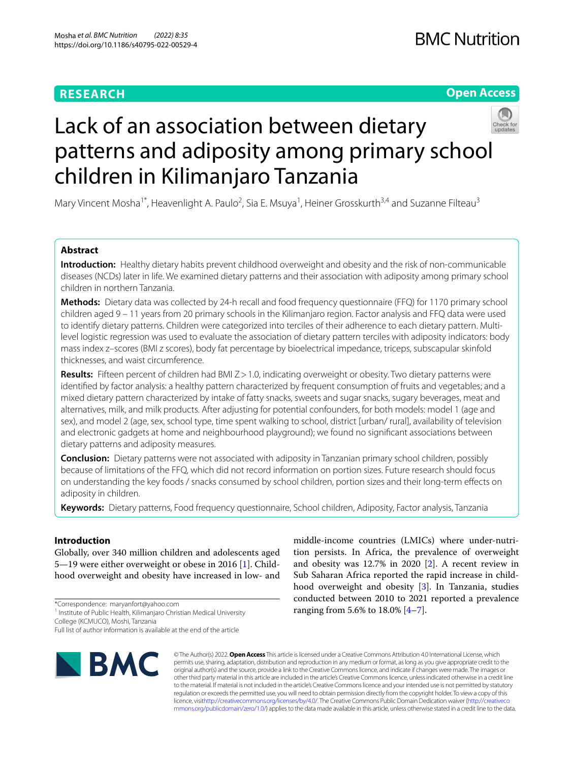# **RESEARCH**

# **Open Access**



# Lack of an association between dietary patterns and adiposity among primary school children in Kilimanjaro Tanzania

Mary Vincent Mosha<sup>1\*</sup>, Heavenlight A. Paulo<sup>2</sup>, Sia E. Msuya<sup>1</sup>, Heiner Grosskurth<sup>3,4</sup> and Suzanne Filteau<sup>3</sup>

# **Abstract**

**Introduction:** Healthy dietary habits prevent childhood overweight and obesity and the risk of non-communicable diseases (NCDs) later in life. We examined dietary patterns and their association with adiposity among primary school children in northern Tanzania.

**Methods:** Dietary data was collected by 24-h recall and food frequency questionnaire (FFQ) for 1170 primary school children aged 9 – 11 years from 20 primary schools in the Kilimanjaro region. Factor analysis and FFQ data were used to identify dietary patterns. Children were categorized into terciles of their adherence to each dietary pattern. Multilevel logistic regression was used to evaluate the association of dietary pattern terciles with adiposity indicators: body mass index z–scores (BMI z scores), body fat percentage by bioelectrical impedance, triceps, subscapular skinfold thicknesses, and waist circumference.

**Results:** Fifteen percent of children had BMI Z>1.0, indicating overweight or obesity. Two dietary patterns were identifed by factor analysis: a healthy pattern characterized by frequent consumption of fruits and vegetables; and a mixed dietary pattern characterized by intake of fatty snacks, sweets and sugar snacks, sugary beverages, meat and alternatives, milk, and milk products. After adjusting for potential confounders, for both models: model 1 (age and sex), and model 2 (age, sex, school type, time spent walking to school, district [urban/ rural], availability of television and electronic gadgets at home and neighbourhood playground); we found no signifcant associations between dietary patterns and adiposity measures.

**Conclusion:** Dietary patterns were not associated with adiposity in Tanzanian primary school children, possibly because of limitations of the FFQ, which did not record information on portion sizes. Future research should focus on understanding the key foods / snacks consumed by school children, portion sizes and their long-term efects on adiposity in children.

**Keywords:** Dietary patterns, Food frequency questionnaire, School children, Adiposity, Factor analysis, Tanzania

## **Introduction**

Globally, over 340 million children and adolescents aged 5—19 were either overweight or obese in 2016 [[1](#page-7-0)]. Childhood overweight and obesity have increased in low- and

\*Correspondence: maryanfort@yahoo.com

<sup>1</sup> Institute of Public Health, Kilimanjaro Christian Medical University

College (KCMUCO), Moshi, Tanzania

Full list of author information is available at the end of the article



middle-income countries (LMICs) where under-nutrition persists. In Africa, the prevalence of overweight and obesity was  $12.7\%$  in 2020 [[2\]](#page-7-1). A recent review in Sub Saharan Africa reported the rapid increase in childhood overweight and obesity [\[3](#page-7-2)]. In Tanzania, studies conducted between 2010 to 2021 reported a prevalence ranging from 5.6% to 18.0% [[4–](#page-7-3)[7\]](#page-7-4).

© The Author(s) 2022. **Open Access** This article is licensed under a Creative Commons Attribution 4.0 International License, which permits use, sharing, adaptation, distribution and reproduction in any medium or format, as long as you give appropriate credit to the original author(s) and the source, provide a link to the Creative Commons licence, and indicate if changes were made. The images or other third party material in this article are included in the article's Creative Commons licence, unless indicated otherwise in a credit line to the material. If material is not included in the article's Creative Commons licence and your intended use is not permitted by statutory regulation or exceeds the permitted use, you will need to obtain permission directly from the copyright holder. To view a copy of this licence, visi[thttp://creativecommons.org/licenses/by/4.0/](http://creativecommons.org/licenses/by/4.0/). The Creative Commons Public Domain Dedication waiver [\(http://creativeco](http://creativecommons.org/publicdomain/zero/1.0/) [mmons.org/publicdomain/zero/1.0/](http://creativecommons.org/publicdomain/zero/1.0/)) applies to the data made available in this article, unless otherwise stated in a credit line to the data.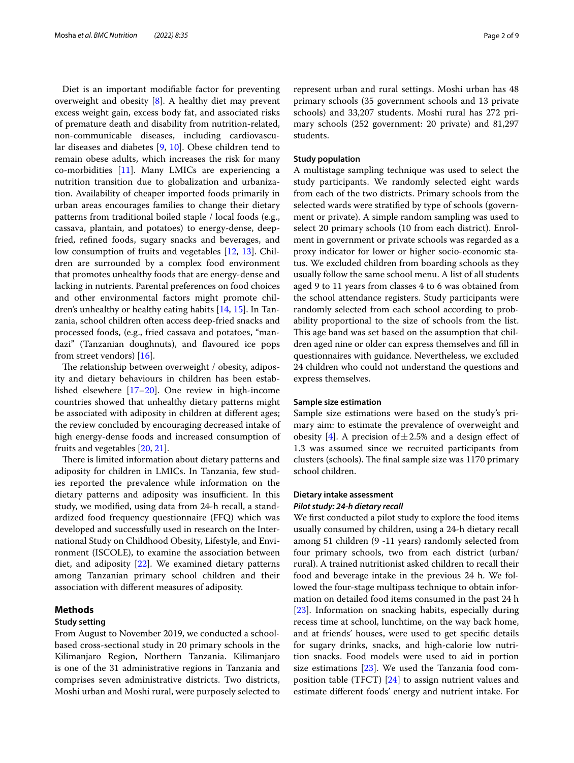Diet is an important modifable factor for preventing overweight and obesity [[8\]](#page-7-5). A healthy diet may prevent excess weight gain, excess body fat, and associated risks of premature death and disability from nutrition-related, non-communicable diseases, including cardiovascular diseases and diabetes [[9](#page-7-6), [10\]](#page-7-7). Obese children tend to remain obese adults, which increases the risk for many co-morbidities [[11](#page-8-0)]. Many LMICs are experiencing a nutrition transition due to globalization and urbanization. Availability of cheaper imported foods primarily in urban areas encourages families to change their dietary patterns from traditional boiled staple / local foods (e.g., cassava, plantain, and potatoes) to energy-dense, deepfried, refned foods, sugary snacks and beverages, and low consumption of fruits and vegetables [[12](#page-8-1), [13\]](#page-8-2). Children are surrounded by a complex food environment that promotes unhealthy foods that are energy-dense and lacking in nutrients. Parental preferences on food choices and other environmental factors might promote children's unhealthy or healthy eating habits [[14,](#page-8-3) [15](#page-8-4)]. In Tanzania, school children often access deep-fried snacks and processed foods, (e.g., fried cassava and potatoes, "mandazi" (Tanzanian doughnuts), and favoured ice pops from street vendors) [[16](#page-8-5)].

The relationship between overweight / obesity, adiposity and dietary behaviours in children has been established elsewhere [[17](#page-8-6)[–20](#page-8-7)]. One review in high-income countries showed that unhealthy dietary patterns might be associated with adiposity in children at diferent ages; the review concluded by encouraging decreased intake of high energy-dense foods and increased consumption of fruits and vegetables [\[20,](#page-8-7) [21](#page-8-8)].

There is limited information about dietary patterns and adiposity for children in LMICs. In Tanzania, few studies reported the prevalence while information on the dietary patterns and adiposity was insufficient. In this study, we modifed, using data from 24-h recall, a standardized food frequency questionnaire (FFQ) which was developed and successfully used in research on the International Study on Childhood Obesity, Lifestyle, and Environment (ISCOLE), to examine the association between diet, and adiposity [[22\]](#page-8-9). We examined dietary patterns among Tanzanian primary school children and their association with diferent measures of adiposity.

## **Methods**

## **Study setting**

From August to November 2019, we conducted a schoolbased cross-sectional study in 20 primary schools in the Kilimanjaro Region, Northern Tanzania. Kilimanjaro is one of the 31 administrative regions in Tanzania and comprises seven administrative districts. Two districts, Moshi urban and Moshi rural, were purposely selected to represent urban and rural settings. Moshi urban has 48 primary schools (35 government schools and 13 private schools) and 33,207 students. Moshi rural has 272 primary schools (252 government: 20 private) and 81,297 students.

## **Study population**

A multistage sampling technique was used to select the study participants. We randomly selected eight wards from each of the two districts. Primary schools from the selected wards were stratifed by type of schools (government or private). A simple random sampling was used to select 20 primary schools (10 from each district). Enrolment in government or private schools was regarded as a proxy indicator for lower or higher socio-economic status. We excluded children from boarding schools as they usually follow the same school menu. A list of all students aged 9 to 11 years from classes 4 to 6 was obtained from the school attendance registers. Study participants were randomly selected from each school according to probability proportional to the size of schools from the list. This age band was set based on the assumption that children aged nine or older can express themselves and fll in questionnaires with guidance. Nevertheless, we excluded 24 children who could not understand the questions and express themselves.

## **Sample size estimation**

Sample size estimations were based on the study's primary aim: to estimate the prevalence of overweight and obesity [[4\]](#page-7-3). A precision of  $\pm 2.5$ % and a design effect of 1.3 was assumed since we recruited participants from clusters (schools). The final sample size was 1170 primary school children.

## **Dietary intake assessment**

## *Pilot study: 24‑h dietary recall*

We frst conducted a pilot study to explore the food items usually consumed by children, using a 24-h dietary recall among 51 children (9 -11 years) randomly selected from four primary schools, two from each district (urban/ rural). A trained nutritionist asked children to recall their food and beverage intake in the previous 24 h. We followed the four-stage multipass technique to obtain information on detailed food items consumed in the past 24 h [[23\]](#page-8-10). Information on snacking habits, especially during recess time at school, lunchtime, on the way back home, and at friends' houses, were used to get specifc details for sugary drinks, snacks, and high-calorie low nutrition snacks. Food models were used to aid in portion size estimations  $[23]$  $[23]$ . We used the Tanzania food composition table (TFCT) [[24](#page-8-11)] to assign nutrient values and estimate diferent foods' energy and nutrient intake. For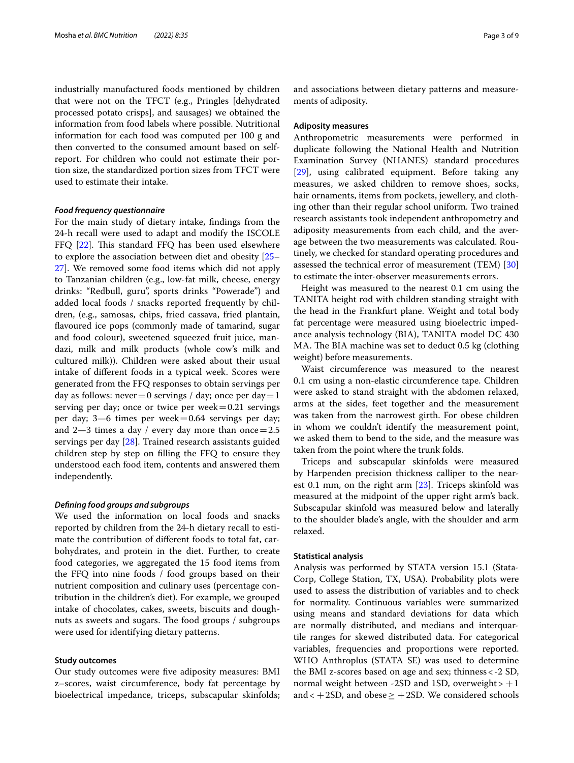industrially manufactured foods mentioned by children that were not on the TFCT (e.g., Pringles [dehydrated processed potato crisps], and sausages) we obtained the information from food labels where possible. Nutritional information for each food was computed per 100 g and then converted to the consumed amount based on selfreport. For children who could not estimate their portion size, the standardized portion sizes from TFCT were used to estimate their intake.

#### *Food frequency questionnaire*

For the main study of dietary intake, fndings from the 24-h recall were used to adapt and modify the ISCOLE FFQ [\[22\]](#page-8-9). This standard FFQ has been used elsewhere to explore the association between diet and obesity [[25–](#page-8-12) [27\]](#page-8-13). We removed some food items which did not apply to Tanzanian children (e.g., low-fat milk, cheese, energy drinks: "Redbull, guru", sports drinks "Powerade") and added local foods / snacks reported frequently by children, (e.g., samosas, chips, fried cassava, fried plantain, favoured ice pops (commonly made of tamarind, sugar and food colour), sweetened squeezed fruit juice, mandazi, milk and milk products (whole cow's milk and cultured milk)). Children were asked about their usual intake of diferent foods in a typical week. Scores were generated from the FFQ responses to obtain servings per day as follows: never  $=0$  servings / day; once per day  $=1$ serving per day; once or twice per week $=0.21$  servings per day; 3—6 times per week=0.64 servings per day; and  $2-3$  times a day / every day more than once=2.5 servings per day [\[28\]](#page-8-14). Trained research assistants guided children step by step on flling the FFQ to ensure they understood each food item, contents and answered them independently.

#### *Defning food groups and subgroups*

We used the information on local foods and snacks reported by children from the 24-h dietary recall to estimate the contribution of diferent foods to total fat, carbohydrates, and protein in the diet. Further, to create food categories, we aggregated the 15 food items from the FFQ into nine foods / food groups based on their nutrient composition and culinary uses (percentage contribution in the children's diet). For example, we grouped intake of chocolates, cakes, sweets, biscuits and doughnuts as sweets and sugars. The food groups / subgroups were used for identifying dietary patterns.

#### **Study outcomes**

Our study outcomes were fve adiposity measures: BMI z–scores, waist circumference, body fat percentage by bioelectrical impedance, triceps, subscapular skinfolds; and associations between dietary patterns and measurements of adiposity.

## **Adiposity measures**

Anthropometric measurements were performed in duplicate following the National Health and Nutrition Examination Survey (NHANES) standard procedures [[29\]](#page-8-15), using calibrated equipment. Before taking any measures, we asked children to remove shoes, socks, hair ornaments, items from pockets, jewellery, and clothing other than their regular school uniform. Two trained research assistants took independent anthropometry and adiposity measurements from each child, and the average between the two measurements was calculated. Routinely, we checked for standard operating procedures and assessed the technical error of measurement (TEM) [[30](#page-8-16)] to estimate the inter-observer measurements errors.

Height was measured to the nearest 0.1 cm using the TANITA height rod with children standing straight with the head in the Frankfurt plane. Weight and total body fat percentage were measured using bioelectric impedance analysis technology (BIA), TANITA model DC 430 MA. The BIA machine was set to deduct 0.5 kg (clothing weight) before measurements.

Waist circumference was measured to the nearest 0.1 cm using a non-elastic circumference tape. Children were asked to stand straight with the abdomen relaxed, arms at the sides, feet together and the measurement was taken from the narrowest girth. For obese children in whom we couldn't identify the measurement point, we asked them to bend to the side, and the measure was taken from the point where the trunk folds.

Triceps and subscapular skinfolds were measured by Harpenden precision thickness calliper to the nearest 0.1 mm, on the right arm  $[23]$  $[23]$ . Triceps skinfold was measured at the midpoint of the upper right arm's back. Subscapular skinfold was measured below and laterally to the shoulder blade's angle, with the shoulder and arm relaxed.

## **Statistical analysis**

Analysis was performed by STATA version 15.1 (Stata-Corp, College Station, TX, USA). Probability plots were used to assess the distribution of variables and to check for normality. Continuous variables were summarized using means and standard deviations for data which are normally distributed, and medians and interquartile ranges for skewed distributed data. For categorical variables, frequencies and proportions were reported. WHO Anthroplus (STATA SE) was used to determine the BMI z-scores based on age and sex; thinness<-2 SD, normal weight between -2SD and 1SD, overweight  $> +1$ and  $\lt +2SD$ , and obese  $\ge +2SD$ . We considered schools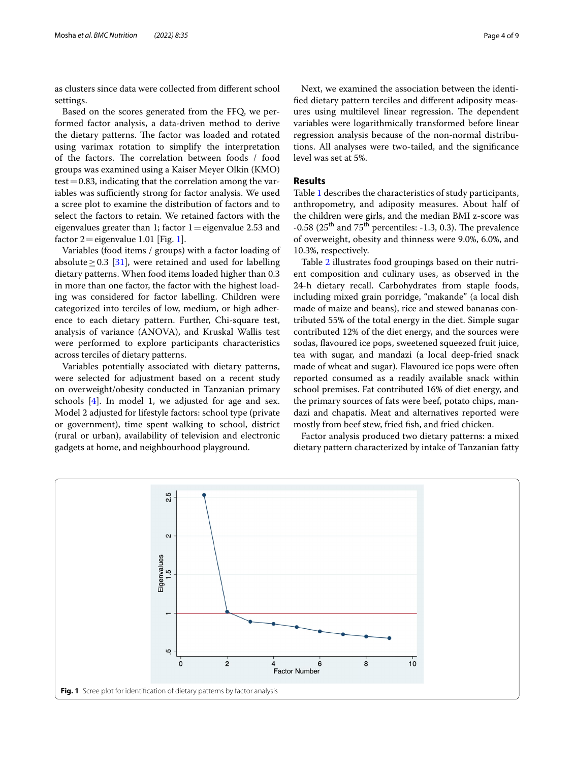as clusters since data were collected from diferent school settings.

Based on the scores generated from the FFQ, we performed factor analysis, a data-driven method to derive the dietary patterns. The factor was loaded and rotated using varimax rotation to simplify the interpretation of the factors. The correlation between foods / food groups was examined using a Kaiser Meyer Olkin (KMO)  $test = 0.83$ , indicating that the correlation among the variables was sufficiently strong for factor analysis. We used a scree plot to examine the distribution of factors and to select the factors to retain. We retained factors with the eigenvalues greater than 1; factor  $1=$  eigenvalue 2.53 and factor  $2$  = eigenvalue 1.01 [Fig. [1\]](#page-3-0).

Variables (food items / groups) with a factor loading of absolute ≥ 0.3 [[31](#page-8-17)], were retained and used for labelling dietary patterns. When food items loaded higher than 0.3 in more than one factor, the factor with the highest loading was considered for factor labelling. Children were categorized into terciles of low, medium, or high adherence to each dietary pattern. Further, Chi-square test, analysis of variance (ANOVA), and Kruskal Wallis test were performed to explore participants characteristics across terciles of dietary patterns.

Variables potentially associated with dietary patterns, were selected for adjustment based on a recent study on overweight/obesity conducted in Tanzanian primary schools [[4\]](#page-7-3). In model 1, we adjusted for age and sex. Model 2 adjusted for lifestyle factors: school type (private or government), time spent walking to school, district (rural or urban), availability of television and electronic gadgets at home, and neighbourhood playground.

Next, we examined the association between the identifed dietary pattern terciles and diferent adiposity measures using multilevel linear regression. The dependent variables were logarithmically transformed before linear regression analysis because of the non-normal distributions. All analyses were two-tailed, and the signifcance level was set at 5%.

## **Results**

Table [1](#page-4-0) describes the characteristics of study participants, anthropometry, and adiposity measures. About half of the children were girls, and the median BMI z-score was  $-0.58$  (25<sup>th</sup> and 75<sup>th</sup> percentiles:  $-1.3$ , 0.3). The prevalence of overweight, obesity and thinness were 9.0%, 6.0%, and 10.3%, respectively.

Table [2](#page-5-0) illustrates food groupings based on their nutrient composition and culinary uses, as observed in the 24-h dietary recall. Carbohydrates from staple foods, including mixed grain porridge, "makande" (a local dish made of maize and beans), rice and stewed bananas contributed 55% of the total energy in the diet. Simple sugar contributed 12% of the diet energy, and the sources were sodas, favoured ice pops, sweetened squeezed fruit juice, tea with sugar, and mandazi (a local deep-fried snack made of wheat and sugar). Flavoured ice pops were often reported consumed as a readily available snack within school premises. Fat contributed 16% of diet energy, and the primary sources of fats were beef, potato chips, mandazi and chapatis. Meat and alternatives reported were mostly from beef stew, fried fsh, and fried chicken.

Factor analysis produced two dietary patterns: a mixed dietary pattern characterized by intake of Tanzanian fatty

<span id="page-3-0"></span>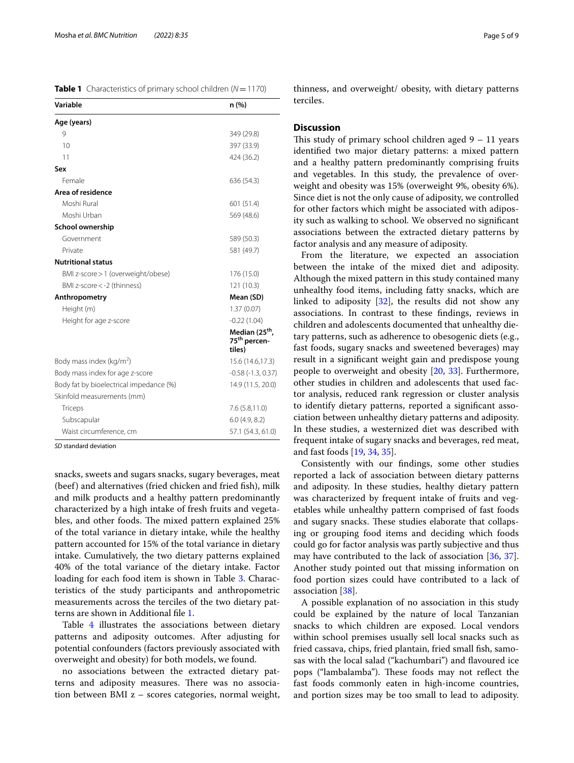<span id="page-4-0"></span>

| <b>Table 1</b> Characteristics of primary school children ( $N = 1170$ ) |
|--------------------------------------------------------------------------|
|--------------------------------------------------------------------------|

| Variable                                | n (%)                                                            |
|-----------------------------------------|------------------------------------------------------------------|
| Age (years)                             |                                                                  |
| 9                                       | 349 (29.8)                                                       |
| 10                                      | 397 (33.9)                                                       |
| 11                                      | 424 (36.2)                                                       |
| Sex                                     |                                                                  |
| Female                                  | 636 (54.3)                                                       |
| Area of residence                       |                                                                  |
| Moshi Rural                             | 601 (51.4)                                                       |
| Moshi Urban                             | 569 (48.6)                                                       |
| School ownership                        |                                                                  |
| Government                              | 589 (50.3)                                                       |
| Private                                 | 581 (49.7)                                                       |
| <b>Nutritional status</b>               |                                                                  |
| BMI z-score > 1 (overweight/obese)      | 176 (15.0)                                                       |
| BMI z-score < -2 (thinness)             | 121(10.3)                                                        |
| Anthropometry                           | Mean (SD)                                                        |
| Height (m)                              | 1.37(0.07)                                                       |
| Height for age z-score                  | $-0.22(1.04)$                                                    |
|                                         | Median (25 <sup>th</sup> ,<br>75 <sup>th</sup> percen-<br>tiles) |
| Body mass index (kg/m <sup>2</sup> )    | 15.6 (14.6,17.3)                                                 |
| Body mass index for age z-score         | $-0.58(-1.3, 0.37)$                                              |
| Body fat by bioelectrical impedance (%) | 14.9 (11.5, 20.0)                                                |
| Skinfold measurements (mm)              |                                                                  |
| Triceps                                 | 7.6(5.8,11.0)                                                    |
| Subscapular                             | 6.0(4.9, 8.2)                                                    |
| Waist circumference, cm                 | 57.1 (54.3, 61.0)                                                |

*SD* standard deviation

snacks, sweets and sugars snacks, sugary beverages, meat (beef) and alternatives (fried chicken and fried fsh), milk and milk products and a healthy pattern predominantly characterized by a high intake of fresh fruits and vegetables, and other foods. The mixed pattern explained 25% of the total variance in dietary intake, while the healthy pattern accounted for 15% of the total variance in dietary intake. Cumulatively, the two dietary patterns explained 40% of the total variance of the dietary intake. Factor loading for each food item is shown in Table [3](#page-5-1). Characteristics of the study participants and anthropometric measurements across the terciles of the two dietary patterns are shown in Additional fle [1.](#page-7-8)

Table [4](#page-6-0) illustrates the associations between dietary patterns and adiposity outcomes. After adjusting for potential confounders (factors previously associated with overweight and obesity) for both models, we found.

no associations between the extracted dietary patterns and adiposity measures. There was no association between BMI z – scores categories, normal weight, thinness, and overweight/ obesity, with dietary patterns terciles.

## **Discussion**

This study of primary school children aged  $9 - 11$  years identifed two major dietary patterns: a mixed pattern and a healthy pattern predominantly comprising fruits and vegetables. In this study, the prevalence of overweight and obesity was 15% (overweight 9%, obesity 6%). Since diet is not the only cause of adiposity, we controlled for other factors which might be associated with adiposity such as walking to school. We observed no signifcant associations between the extracted dietary patterns by factor analysis and any measure of adiposity.

From the literature, we expected an association between the intake of the mixed diet and adiposity. Although the mixed pattern in this study contained many unhealthy food items, including fatty snacks, which are linked to adiposity [[32\]](#page-8-18), the results did not show any associations. In contrast to these fndings, reviews in children and adolescents documented that unhealthy dietary patterns, such as adherence to obesogenic diets (e.g., fast foods, sugary snacks and sweetened beverages) may result in a signifcant weight gain and predispose young people to overweight and obesity [[20,](#page-8-7) [33](#page-8-19)]. Furthermore, other studies in children and adolescents that used factor analysis, reduced rank regression or cluster analysis to identify dietary patterns, reported a signifcant association between unhealthy dietary patterns and adiposity. In these studies, a westernized diet was described with frequent intake of sugary snacks and beverages, red meat, and fast foods [\[19](#page-8-20), [34](#page-8-21), [35\]](#page-8-22).

Consistently with our fndings, some other studies reported a lack of association between dietary patterns and adiposity. In these studies, healthy dietary pattern was characterized by frequent intake of fruits and vegetables while unhealthy pattern comprised of fast foods and sugary snacks. These studies elaborate that collapsing or grouping food items and deciding which foods could go for factor analysis was partly subjective and thus may have contributed to the lack of association [\[36,](#page-8-23) [37](#page-8-24)]. Another study pointed out that missing information on food portion sizes could have contributed to a lack of association [[38\]](#page-8-25).

A possible explanation of no association in this study could be explained by the nature of local Tanzanian snacks to which children are exposed. Local vendors within school premises usually sell local snacks such as fried cassava, chips, fried plantain, fried small fsh, samosas with the local salad ("kachumbari") and favoured ice pops ("lambalamba"). These foods may not reflect the fast foods commonly eaten in high-income countries, and portion sizes may be too small to lead to adiposity.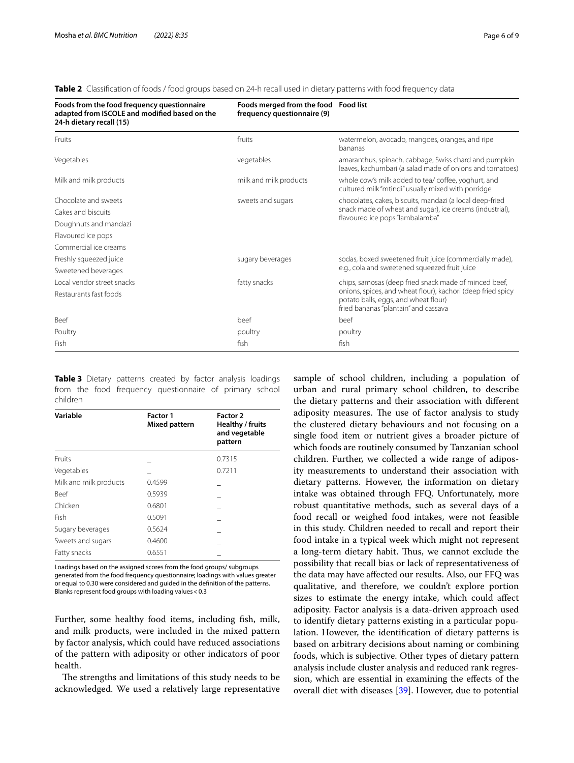| Foods from the food frequency questionnaire<br>adapted from ISCOLE and modified based on the<br>24-h dietary recall (15) | Foods merged from the food Food list<br>frequency questionnaire (9) |                                                                                                                                             |
|--------------------------------------------------------------------------------------------------------------------------|---------------------------------------------------------------------|---------------------------------------------------------------------------------------------------------------------------------------------|
| Fruits                                                                                                                   | fruits                                                              | watermelon, avocado, mangoes, oranges, and ripe<br>bananas                                                                                  |
| Vegetables                                                                                                               | vegetables                                                          | amaranthus, spinach, cabbage, Swiss chard and pumpkin<br>leaves, kachumbari (a salad made of onions and tomatoes)                           |
| Milk and milk products                                                                                                   | milk and milk products                                              | whole cow's milk added to tea/ coffee, yoghurt, and<br>cultured milk "mtindi" usually mixed with porridge                                   |
| Chocolate and sweets                                                                                                     | sweets and sugars                                                   | chocolates, cakes, biscuits, mandazi (a local deep-fried                                                                                    |
| Cakes and biscuits                                                                                                       |                                                                     | snack made of wheat and sugar), ice creams (industrial),                                                                                    |
| Doughnuts and mandazi                                                                                                    |                                                                     | flavoured ice pops "lambalamba"                                                                                                             |
| Flavoured ice pops                                                                                                       |                                                                     |                                                                                                                                             |
| Commercial ice creams                                                                                                    |                                                                     |                                                                                                                                             |
| Freshly squeezed juice                                                                                                   | sugary beverages                                                    | sodas, boxed sweetened fruit juice (commercially made),                                                                                     |
| Sweetened beverages                                                                                                      |                                                                     | e.g., cola and sweetened squeezed fruit juice                                                                                               |
| Local vendor street snacks                                                                                               | fatty snacks                                                        | chips, samosas (deep fried snack made of minced beef,                                                                                       |
| Restaurants fast foods                                                                                                   |                                                                     | onions, spices, and wheat flour), kachori (deep fried spicy<br>potato balls, eggs, and wheat flour)<br>fried bananas "plantain" and cassava |
| Beef                                                                                                                     | beef                                                                | beef                                                                                                                                        |
| Poultry                                                                                                                  | poultry                                                             | poultry                                                                                                                                     |
| <b>Fish</b>                                                                                                              | fish                                                                | fish                                                                                                                                        |

<span id="page-5-0"></span>**Table 2** Classification of foods / food groups based on 24-h recall used in dietary patterns with food frequency data

<span id="page-5-1"></span>**Table 3** Dietary patterns created by factor analysis loadings from the food frequency questionnaire of primary school children

| Variable               | <b>Factor 1</b><br>Mixed pattern | <b>Factor 2</b><br>Healthy / fruits<br>and vegetable<br>pattern |
|------------------------|----------------------------------|-----------------------------------------------------------------|
| Fruits                 |                                  | 0.7315                                                          |
| Vegetables             |                                  | 0.7211                                                          |
| Milk and milk products | 0.4599                           |                                                                 |
| <b>Beef</b>            | 0.5939                           |                                                                 |
| Chicken                | 0.6801                           |                                                                 |
| Fish                   | 0.5091                           |                                                                 |
| Sugary beverages       | 0.5624                           |                                                                 |
| Sweets and sugars      | 0.4600                           |                                                                 |
| Fatty snacks           | 0.6551                           |                                                                 |

Loadings based on the assigned scores from the food groups/ subgroups generated from the food frequency questionnaire; loadings with values greater or equal to 0.30 were considered and guided in the defnition of the patterns. Blanks represent food groups with loading values<0.3

Further, some healthy food items, including fish, milk, and milk products, were included in the mixed pattern by factor analysis, which could have reduced associations of the pattern with adiposity or other indicators of poor health.

The strengths and limitations of this study needs to be acknowledged. We used a relatively large representative

sample of school children, including a population of urban and rural primary school children, to describe the dietary patterns and their association with diferent adiposity measures. The use of factor analysis to study the clustered dietary behaviours and not focusing on a single food item or nutrient gives a broader picture of which foods are routinely consumed by Tanzanian school children. Further, we collected a wide range of adiposity measurements to understand their association with dietary patterns. However, the information on dietary intake was obtained through FFQ. Unfortunately, more robust quantitative methods, such as several days of a food recall or weighed food intakes, were not feasible in this study. Children needed to recall and report their food intake in a typical week which might not represent a long-term dietary habit. Thus, we cannot exclude the possibility that recall bias or lack of representativeness of the data may have afected our results. Also, our FFQ was qualitative, and therefore, we couldn't explore portion sizes to estimate the energy intake, which could afect adiposity. Factor analysis is a data-driven approach used to identify dietary patterns existing in a particular population. However, the identifcation of dietary patterns is based on arbitrary decisions about naming or combining foods, which is subjective. Other types of dietary pattern analysis include cluster analysis and reduced rank regression, which are essential in examining the efects of the overall diet with diseases [[39\]](#page-8-26). However, due to potential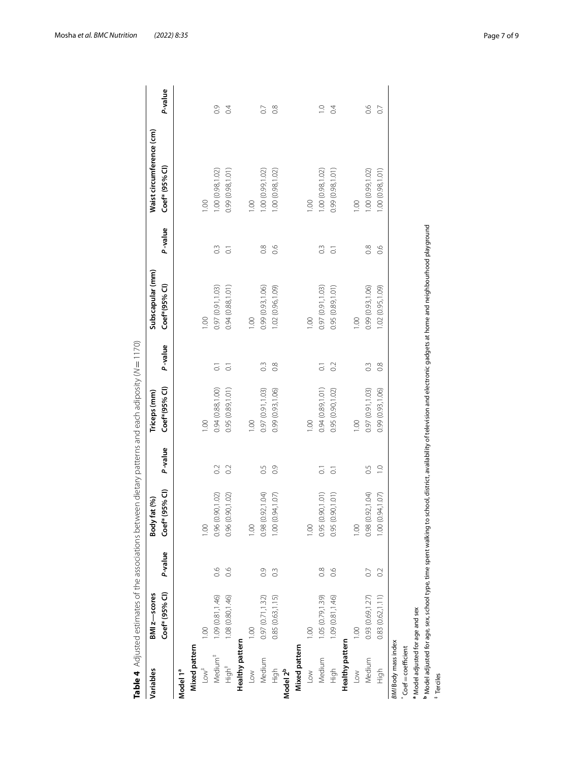| II                                         |
|--------------------------------------------|
|                                            |
|                                            |
|                                            |
|                                            |
|                                            |
| י<br>ו                                     |
|                                            |
|                                            |
| くく                                         |
|                                            |
|                                            |
|                                            |
|                                            |
|                                            |
|                                            |
|                                            |
| こりりょく                                      |
|                                            |
| $\vdots$                                   |
|                                            |
| うりつ てとら りとう サイトりと ここり                      |
| j                                          |
|                                            |
|                                            |
| .<br>!                                     |
|                                            |
|                                            |
| .<br>.<br>.<br>.                           |
|                                            |
|                                            |
|                                            |
| $\overline{ }$                             |
|                                            |
| ;                                          |
|                                            |
|                                            |
|                                            |
|                                            |
|                                            |
| こりりー<br>1                                  |
|                                            |
|                                            |
| きろく りょうこうこう りょう りょう サーキン<br>こうりょう          |
|                                            |
|                                            |
|                                            |
| $\begin{array}{c} \frac{1}{2} \end{array}$ |
|                                            |
| :<br>DN                                    |
|                                            |
|                                            |
| ١                                          |
|                                            |
|                                            |
|                                            |
| $e$ 4 $\sim$                               |
|                                            |
|                                            |
|                                            |

|                                |                                |                  |                                |                    | en dietary patterns and each adiposity ( $N = 1170$ ) |                    |                                                                                                                                                                          |                    |                                            |                  |
|--------------------------------|--------------------------------|------------------|--------------------------------|--------------------|-------------------------------------------------------|--------------------|--------------------------------------------------------------------------------------------------------------------------------------------------------------------------|--------------------|--------------------------------------------|------------------|
| Variables                      | Coef* (95% Cl)<br>BMI z-scores | P-value          | Coef* (95% Cl)<br>Body fat (%) | P-value            | Coef*(95% CI)<br>Triceps (mm)                         | P-value            | Subscapular (mm)<br>Coef*(95% Cl)                                                                                                                                        | P-value            | Waist circumference (cm)<br>Coef* (95% Cl) | P-value          |
| Model 1ª                       |                                |                  |                                |                    |                                                       |                    |                                                                                                                                                                          |                    |                                            |                  |
| <b>Mixed pattern</b>           |                                |                  |                                |                    |                                                       |                    |                                                                                                                                                                          |                    |                                            |                  |
| $Low^{\ddagger}$               | 00.1                           |                  | 0.00                           |                    | 00.1                                                  |                    | 00.1                                                                                                                                                                     |                    | 00.1                                       |                  |
| Medium <sup>#</sup>            | 1.09 (0.81, 1.46)              | 0.6              | 0.96 (0.90, 1.02)              | 0.2                | 0.94 (0.88,1.00)                                      | $\overline{c}$     | 0.97 (0.91, 1.03)                                                                                                                                                        | $\frac{3}{2}$      | 1.00 (0.98, 1.02)                          | $\overline{0}$ . |
| tigh <sup>#</sup>              | 1.08(0.80, 1.46)               | 0.6              | 0.96 (0.90, 1.02)              | 0.2                | 0.95 (0.89, 1.01)                                     | $\overline{\circ}$ | 0.94(0.88, 1.01)                                                                                                                                                         | ੋ                  | 0.99 (0.98,1.01)                           | 0.4              |
| Healthy pattern                |                                |                  |                                |                    |                                                       |                    |                                                                                                                                                                          |                    |                                            |                  |
| $\leq$                         | 001                            |                  | 0.00                           |                    | 001                                                   |                    | 00.1                                                                                                                                                                     |                    | $\overline{0}$                             |                  |
| Medium                         | 0.97(0.71, 1.32)               | 0.9              | 0.98(0.92, 1.04)               | 0.5                | 0.97 (0.91, 1.03)                                     | $\frac{3}{2}$      | 0.99(0.93, 1.06)                                                                                                                                                         | 0.8                | 1.00 (0.99, 1.02)                          | $\overline{0}$   |
| High                           | 0.85(0.63, 1.15)               | $0.\overline{3}$ | 1.00 (0.94,1.07)               | 0.9                | 0.99(0.93, 1.06)                                      | $\frac{8}{2}$      | 1.02 (0.96,1.09)                                                                                                                                                         | 0.6                | 1.00(0.98, 1.02)                           | 0.8              |
| Model 2 <sup>b</sup>           |                                |                  |                                |                    |                                                       |                    |                                                                                                                                                                          |                    |                                            |                  |
| <b>Mixed pattern</b>           |                                |                  |                                |                    |                                                       |                    |                                                                                                                                                                          |                    |                                            |                  |
| Low                            | $\frac{8}{1}$                  |                  | 00.1                           |                    | 001                                                   |                    | 00.1                                                                                                                                                                     |                    | 00.1                                       |                  |
| Medium                         | 1.05 (0.79,1.39)               | 0.8              | 0.95 (0.90, 1.01)              | $\overline{\circ}$ | 0.94 (0.89,1.01)                                      | $\overline{\circ}$ | 0.97 (0.91, 1.03)                                                                                                                                                        | 0.3                | 1.00 (0.98, 1.02)                          | $\supseteq$      |
| High                           | 1.09 (0.81, 1.46)              | 0.6              | 0.95 (0.90, 1.01)              | $\overline{C}$     | 0.95 (0.90, 1.02)                                     | $\overline{O}$     | 0.95 (0.89, 1.01)                                                                                                                                                        | $\overline{\circ}$ | 0.99 (0.98, 1.01)                          | 0.4              |
| Healthy pattern                |                                |                  |                                |                    |                                                       |                    |                                                                                                                                                                          |                    |                                            |                  |
| $_{\text{Low}}$                | $\frac{100}{100}$              |                  | 0.00                           |                    | 1.00                                                  |                    | 0.01                                                                                                                                                                     |                    | 0.00                                       |                  |
| Medium                         | 0.93(0.69, 1.27)               | $\overline{0}$ . | 0.98 (0.92,1.04)               | 0.5                | 0.97 (0.91, 1.03)                                     | $\frac{3}{2}$      | 0.99 (0.93, 1.06)                                                                                                                                                        | 0.8                | 1.00 (0.99,1.02)                           | 0.6              |
| High                           | 0.83(0.62, 1.11)               | 0.2              | 1.00 (0.94, 1.07)              | $\overline{1}$ .   | 0.99 (0.93,1.06)                                      | $\frac{8}{2}$      | 1.02 (0.95, 1.09)                                                                                                                                                        | 0.6                | 1.00 (0.98,1.01)                           | $\overline{0}$   |
| BMI Body mass index            |                                |                  |                                |                    |                                                       |                    |                                                                                                                                                                          |                    |                                            |                  |
| $Coef = coefficient$           |                                |                  |                                |                    |                                                       |                    |                                                                                                                                                                          |                    |                                            |                  |
| Model adjusted for age and sex |                                |                  |                                |                    |                                                       |                    |                                                                                                                                                                          |                    |                                            |                  |
|                                |                                |                  |                                |                    |                                                       |                    | Model adjusted for age, sex, school type, time spent walking to school, district, availability of television and electronic gadgets at home and neighbourhood playground |                    |                                            |                  |
| Terciles                       |                                |                  |                                |                    |                                                       |                    |                                                                                                                                                                          |                    |                                            |                  |

<span id="page-6-0"></span>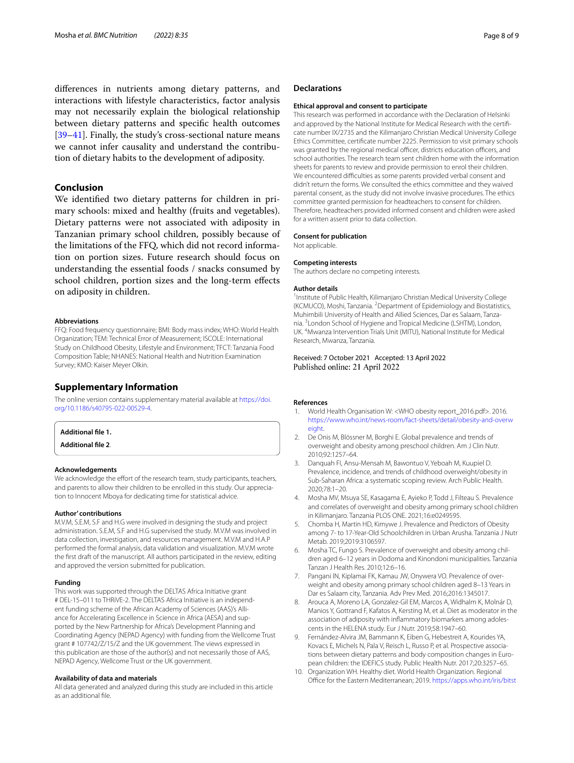diferences in nutrients among dietary patterns, and interactions with lifestyle characteristics, factor analysis may not necessarily explain the biological relationship between dietary patterns and specifc health outcomes [[39–](#page-8-26)[41](#page-8-27)]. Finally, the study's cross-sectional nature means we cannot infer causality and understand the contribution of dietary habits to the development of adiposity.

## **Conclusion**

We identifed two dietary patterns for children in primary schools: mixed and healthy (fruits and vegetables). Dietary patterns were not associated with adiposity in Tanzanian primary school children, possibly because of the limitations of the FFQ, which did not record information on portion sizes. Future research should focus on understanding the essential foods / snacks consumed by school children, portion sizes and the long-term efects on adiposity in children.

#### **Abbreviations**

FFQ: Food frequency questionnaire; BMI: Body mass index; WHO: World Health Organization; TEM: Technical Error of Measurement; ISCOLE: International Study on Childhood Obesity, Lifestyle and Environment; TFCT: Tanzania Food Composition Table; NHANES: National Health and Nutrition Examination Survey; KMO: Kaiser Meyer Olkin.

## **Supplementary Information**

The online version contains supplementary material available at [https://doi.](https://doi.org/10.1186/s40795-022-00529-4) [org/10.1186/s40795-022-00529-4](https://doi.org/10.1186/s40795-022-00529-4).

<span id="page-7-8"></span>**Additional fle 1.**

**Additional fle 2**.

#### **Acknowledgements**

We acknowledge the effort of the research team, study participants, teachers, and parents to allow their children to be enrolled in this study. Our appreciation to Innocent Mboya for dedicating time for statistical advice.

#### **Author' contributions**

M.V.M, S.E.M, S.F and H.G were involved in designing the study and project administration. S.E.M, S.F and H.G supervised the study. M.V.M was involved in data collection, investigation, and resources management. M.V.M and H.A.P performed the formal analysis, data validation and visualization. M.V.M wrote the frst draft of the manuscript. All authors participated in the review, editing and approved the version submitted for publication.

#### **Funding**

This work was supported through the DELTAS Africa Initiative grant # DEL-15–011 to THRiVE-2. The DELTAS Africa Initiative is an independent funding scheme of the African Academy of Sciences (AAS)'s Alliance for Accelerating Excellence in Science in Africa (AESA) and supported by the New Partnership for Africa's Development Planning and Coordinating Agency (NEPAD Agency) with funding from the Wellcome Trust grant # 107742/Z/15/Z and the UK government. The views expressed in this publication are those of the author(s) and not necessarily those of AAS, NEPAD Agency, Wellcome Trust or the UK government.

#### **Availability of data and materials**

All data generated and analyzed during this study are included in this article as an additional fle.

#### **Declarations**

#### **Ethical approval and consent to participate**

This research was performed in accordance with the Declaration of Helsinki and approved by the National Institute for Medical Research with the certifcate number IX/2735 and the Kilimanjaro Christian Medical University College Ethics Committee, certifcate number 2225. Permission to visit primary schools was granted by the regional medical officer, districts education officers, and school authorities. The research team sent children home with the information sheets for parents to review and provide permission to enrol their children. We encountered difficulties as some parents provided verbal consent and didn't return the forms. We consulted the ethics committee and they waived parental consent, as the study did not involve invasive procedures. The ethics committee granted permission for headteachers to consent for children. Therefore, headteachers provided informed consent and children were asked for a written assent prior to data collection.

#### **Consent for publication**

Not applicable.

#### **Competing interests**

The authors declare no competing interests.

#### **Author details**

<sup>1</sup> Institute of Public Health, Kilimanjaro Christian Medical University College (KCMUCO), Moshi, Tanzania. <sup>2</sup> Department of Epidemiology and Biostatistics, Muhimbili University of Health and Allied Sciences, Dar es Salaam, Tanzania. 3 London School of Hygiene and Tropical Medicine (LSHTM), London, UK. <sup>4</sup> Mwanza Intervention Trials Unit (MITU), National Institute for Medical Research, Mwanza, Tanzania.

#### Received: 7 October 2021 Accepted: 13 April 2022 Published online: 21 April 2022

#### **References**

- <span id="page-7-0"></span>World Health Organisation W: <WHO obesity report\_2016.pdf>. 2016. [https://www.who.int/news-room/fact-sheets/detail/obesity-and-overw](https://www.who.int/news-room/fact-sheets/detail/obesity-and-overweight) [eight](https://www.who.int/news-room/fact-sheets/detail/obesity-and-overweight).
- <span id="page-7-1"></span>2. De Onis M, Blössner M, Borghi E. Global prevalence and trends of overweight and obesity among preschool children. Am J Clin Nutr. 2010;92:1257–64.
- <span id="page-7-2"></span>3. Danquah FI, Ansu-Mensah M, Bawontuo V, Yeboah M, Kuupiel D. Prevalence, incidence, and trends of childhood overweight/obesity in Sub-Saharan Africa: a systematic scoping review. Arch Public Health. 2020;78:1–20.
- <span id="page-7-3"></span>4. Mosha MV, Msuya SE, Kasagama E, Ayieko P, Todd J, Filteau S. Prevalence and correlates of overweight and obesity among primary school children in Kilimanjaro. Tanzania PLOS ONE. 2021;16:e0249595.
- 5. Chomba H, Martin HD, Kimywe J. Prevalence and Predictors of Obesity among 7- to 17-Year-Old Schoolchildren in Urban Arusha. Tanzania J Nutr Metab. 2019;2019:3106597.
- 6. Mosha TC, Fungo S. Prevalence of overweight and obesity among children aged 6–12 years in Dodoma and Kinondoni municipalities. Tanzania Tanzan J Health Res. 2010;12:6–16.
- <span id="page-7-4"></span>7. Pangani IN, Kiplamai FK, Kamau JW, Onywera VO. Prevalence of overweight and obesity among primary school children aged 8–13 Years in Dar es Salaam city, Tanzania. Adv Prev Med. 2016;2016:1345017.
- <span id="page-7-5"></span>8. Arouca A, Moreno LA, Gonzalez-Gil EM, Marcos A, Widhalm K, Molnár D, Manios Y, Gottrand F, Kafatos A, Kersting M, et al. Diet as moderator in the association of adiposity with infammatory biomarkers among adolescents in the HELENA study. Eur J Nutr. 2019;58:1947–60.
- <span id="page-7-6"></span>9. Fernández-Alvira JM, Bammann K, Eiben G, Hebestreit A, Kourides YA, Kovacs E, Michels N, Pala V, Reisch L, Russo P, et al. Prospective associations between dietary patterns and body composition changes in European children: the IDEFICS study. Public Health Nutr. 2017;20:3257–65.
- <span id="page-7-7"></span>10. Organization WH. Healthy diet. World Health Organization. Regional Office for the Eastern Mediterranean; 2019. [https://apps.who.int/iris/bitst](https://apps.who.int/iris/bitstream/handle/10665/325828/EMROPUB_2019_en_23536.pdf?sequence=1&isAllowed=y)